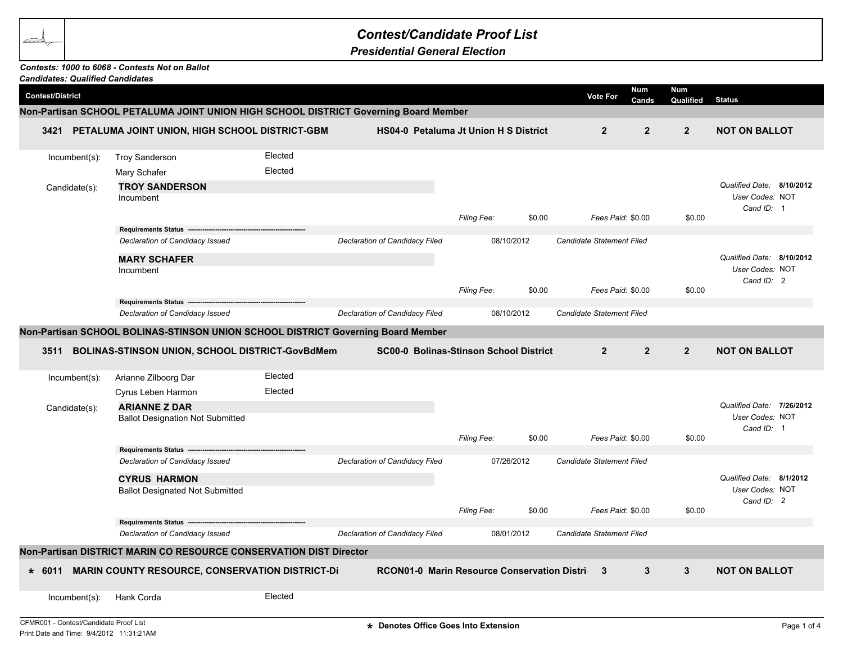| <b>Contest/Candidate Proof List</b> |  |  |
|-------------------------------------|--|--|
|-------------------------------------|--|--|

*Presidential General Election*

## *Contests: 1000 to 6068 - Contests Not on Ballot*

| <b>Candidates: Qualified Candidates</b>                                              |                                                                                  |         |                                |                                               |        |                                  |                  |                               |  |  |
|--------------------------------------------------------------------------------------|----------------------------------------------------------------------------------|---------|--------------------------------|-----------------------------------------------|--------|----------------------------------|------------------|-------------------------------|--|--|
| <b>Contest/District</b>                                                              |                                                                                  |         |                                |                                               |        | Num<br>Vote For<br>Cands         | Num<br>Qualified | <b>Status</b>                 |  |  |
| Non-Partisan SCHOOL PETALUMA JOINT UNION HIGH SCHOOL DISTRICT Governing Board Member |                                                                                  |         |                                |                                               |        |                                  |                  |                               |  |  |
|                                                                                      | 3421 PETALUMA JOINT UNION, HIGH SCHOOL DISTRICT-GBM                              |         |                                | HS04-0 Petaluma Jt Union H S District         |        | $\mathbf{2}$<br>$\mathbf{2}$     | 2 <sup>1</sup>   | <b>NOT ON BALLOT</b>          |  |  |
| Incumbent(s):                                                                        | <b>Troy Sanderson</b>                                                            | Elected |                                |                                               |        |                                  |                  |                               |  |  |
|                                                                                      | Mary Schafer                                                                     | Elected |                                |                                               |        |                                  |                  |                               |  |  |
| Candidate(s):                                                                        | <b>TROY SANDERSON</b>                                                            |         |                                |                                               |        |                                  |                  | Qualified Date: 8/10/2012     |  |  |
|                                                                                      | Incumbent                                                                        |         |                                |                                               |        |                                  |                  | User Codes: NOT               |  |  |
|                                                                                      |                                                                                  |         |                                | Filing Fee:                                   | \$0.00 | Fees Paid: \$0.00                | \$0.00           | Cand ID: 1                    |  |  |
|                                                                                      | Requirements Status -                                                            |         |                                |                                               |        |                                  |                  |                               |  |  |
|                                                                                      | Declaration of Candidacy Issued                                                  |         | Declaration of Candidacy Filed | 08/10/2012                                    |        | Candidate Statement Filed        |                  |                               |  |  |
|                                                                                      | <b>MARY SCHAFER</b>                                                              |         |                                |                                               |        |                                  |                  | Qualified Date: 8/10/2012     |  |  |
|                                                                                      | Incumbent                                                                        |         |                                |                                               |        |                                  |                  | User Codes: NOT<br>Cand ID: 2 |  |  |
|                                                                                      |                                                                                  |         |                                | Filing Fee:                                   | \$0.00 | Fees Paid: \$0.00                | \$0.00           |                               |  |  |
|                                                                                      | Requirements Status --                                                           |         |                                |                                               |        |                                  |                  |                               |  |  |
|                                                                                      | Declaration of Candidacy Issued                                                  |         | Declaration of Candidacy Filed | 08/10/2012                                    |        | Candidate Statement Filed        |                  |                               |  |  |
|                                                                                      | Non-Partisan SCHOOL BOLINAS-STINSON UNION SCHOOL DISTRICT Governing Board Member |         |                                |                                               |        |                                  |                  |                               |  |  |
| 3511                                                                                 | BOLINAS-STINSON UNION, SCHOOL DISTRICT-GovBdMem                                  |         |                                | <b>SC00-0 Bolinas-Stinson School District</b> |        | $\overline{2}$<br>$\overline{2}$ | 2 <sup>1</sup>   | <b>NOT ON BALLOT</b>          |  |  |
| Incumbent(s):                                                                        | Arianne Zilboorg Dar                                                             | Elected |                                |                                               |        |                                  |                  |                               |  |  |
|                                                                                      | Cyrus Leben Harmon                                                               | Elected |                                |                                               |        |                                  |                  |                               |  |  |
| Candidate(s):                                                                        | <b>ARIANNE Z DAR</b>                                                             |         |                                |                                               |        |                                  |                  | Qualified Date: 7/26/2012     |  |  |
|                                                                                      | <b>Ballot Designation Not Submitted</b>                                          |         |                                |                                               |        |                                  |                  | User Codes: NOT<br>Cand ID: 1 |  |  |
|                                                                                      |                                                                                  |         |                                | Filing Fee:                                   | \$0.00 | Fees Paid: \$0.00                | \$0.00           |                               |  |  |
|                                                                                      | Requirements Status -----                                                        |         |                                |                                               |        |                                  |                  |                               |  |  |
|                                                                                      | Declaration of Candidacy Issued                                                  |         | Declaration of Candidacy Filed | 07/26/2012                                    |        | <b>Candidate Statement Filed</b> |                  |                               |  |  |
|                                                                                      | <b>CYRUS HARMON</b>                                                              |         |                                |                                               |        |                                  |                  | Qualified Date: 8/1/2012      |  |  |
|                                                                                      | <b>Ballot Designated Not Submitted</b>                                           |         |                                |                                               |        |                                  |                  | User Codes: NOT<br>Cand ID: 2 |  |  |
|                                                                                      |                                                                                  |         |                                | Filing Fee:                                   | \$0.00 | Fees Paid: \$0.00                | \$0.00           |                               |  |  |
|                                                                                      | Requirements Status --                                                           |         |                                |                                               |        |                                  |                  |                               |  |  |
|                                                                                      | Declaration of Candidacy Issued                                                  |         | Declaration of Candidacy Filed | 08/01/2012                                    |        | Candidate Statement Filed        |                  |                               |  |  |
|                                                                                      | Non-Partisan DISTRICT MARIN CO RESOURCE CONSERVATION DIST Director               |         |                                |                                               |        |                                  |                  |                               |  |  |
|                                                                                      | * 6011 MARIN COUNTY RESOURCE, CONSERVATION DISTRICT-DI                           |         |                                | RCON01-0 Marin Resource Conservation Distri 3 |        | 3                                | 3                | <b>NOT ON BALLOT</b>          |  |  |
| $Incumbent(s)$ :                                                                     | Hank Corda                                                                       | Elected |                                |                                               |        |                                  |                  |                               |  |  |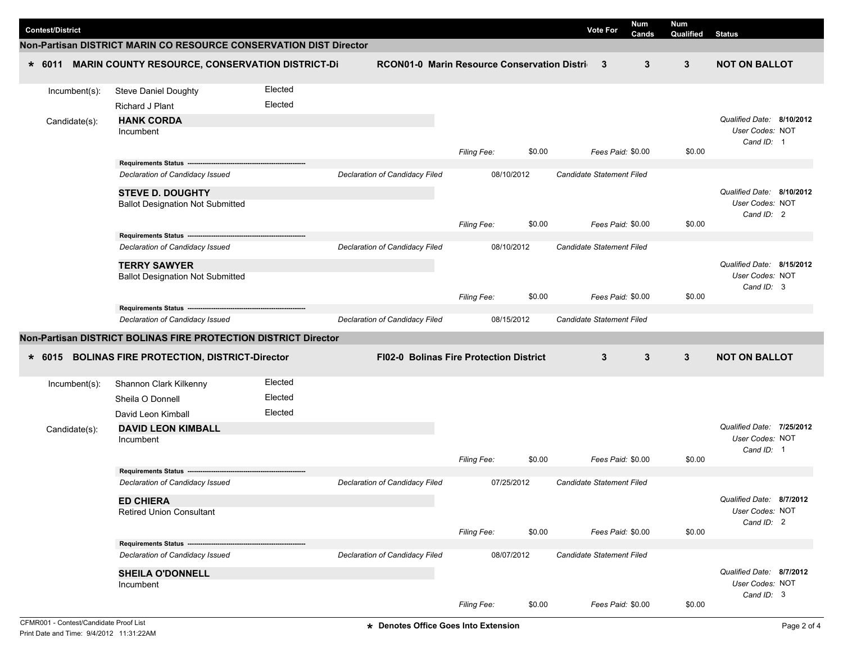|                         |               |                                                                    |         |                                |                                             |        |                                  | Num               | <b>Num</b>   |                               |
|-------------------------|---------------|--------------------------------------------------------------------|---------|--------------------------------|---------------------------------------------|--------|----------------------------------|-------------------|--------------|-------------------------------|
| <b>Contest/District</b> |               |                                                                    |         |                                |                                             |        | <b>Vote For</b>                  | Cands             | Qualified    | <b>Status</b>                 |
|                         |               | Non-Partisan DISTRICT MARIN CO RESOURCE CONSERVATION DIST Director |         |                                |                                             |        |                                  |                   |              |                               |
| $* 6011$                |               | <b>MARIN COUNTY RESOURCE, CONSERVATION DISTRICT-DI</b>             |         |                                | RCON01-0 Marin Resource Conservation Distri |        | $\overline{\mathbf{3}}$          | 3                 | $\mathbf{3}$ | <b>NOT ON BALLOT</b>          |
|                         | Incumbent(s): | <b>Steve Daniel Doughty</b>                                        | Elected |                                |                                             |        |                                  |                   |              |                               |
|                         |               | Richard J Plant                                                    | Elected |                                |                                             |        |                                  |                   |              |                               |
|                         | Candidate(s): | <b>HANK CORDA</b>                                                  |         |                                |                                             |        |                                  |                   |              | Qualified Date: 8/10/2012     |
|                         |               | Incumbent                                                          |         |                                |                                             |        |                                  |                   |              | User Codes: NOT               |
|                         |               |                                                                    |         |                                | Filing Fee:                                 | \$0.00 |                                  | Fees Paid: \$0.00 | \$0.00       | Cand ID: 1                    |
|                         |               | Requirements Status ---------                                      |         |                                |                                             |        |                                  |                   |              |                               |
|                         |               | Declaration of Candidacy Issued                                    |         | Declaration of Candidacy Filed | 08/10/2012                                  |        | Candidate Statement Filed        |                   |              |                               |
|                         |               | <b>STEVE D. DOUGHTY</b>                                            |         |                                |                                             |        |                                  |                   |              | Qualified Date: 8/10/2012     |
|                         |               | <b>Ballot Designation Not Submitted</b>                            |         |                                |                                             |        |                                  |                   |              | User Codes: NOT               |
|                         |               |                                                                    |         |                                | <b>Filing Fee:</b>                          | \$0.00 |                                  | Fees Paid: \$0.00 | \$0.00       | Cand ID: 2                    |
|                         |               | Requirements Status ---                                            |         |                                |                                             |        |                                  |                   |              |                               |
|                         |               | Declaration of Candidacy Issued                                    |         | Declaration of Candidacy Filed | 08/10/2012                                  |        | Candidate Statement Filed        |                   |              |                               |
|                         |               | <b>TERRY SAWYER</b>                                                |         |                                |                                             |        |                                  |                   |              | Qualified Date: 8/15/2012     |
|                         |               | <b>Ballot Designation Not Submitted</b>                            |         |                                |                                             |        |                                  |                   |              | User Codes: NOT               |
|                         |               |                                                                    |         |                                | Filing Fee:                                 | \$0.00 |                                  | Fees Paid: \$0.00 | \$0.00       | Cand ID: 3                    |
|                         |               | Requirements Status ---                                            |         |                                |                                             |        |                                  |                   |              |                               |
|                         |               | Declaration of Candidacy Issued                                    |         | Declaration of Candidacy Filed | 08/15/2012                                  |        | Candidate Statement Filed        |                   |              |                               |
|                         |               | Non-Partisan DISTRICT BOLINAS FIRE PROTECTION DISTRICT Director    |         |                                |                                             |        |                                  |                   |              |                               |
|                         |               |                                                                    |         |                                |                                             |        |                                  |                   |              |                               |
| $* 6015$                |               | <b>BOLINAS FIRE PROTECTION, DISTRICT-Director</b>                  |         |                                | FI02-0 Bolinas Fire Protection District     |        | 3                                | 3                 | $\mathbf{3}$ | <b>NOT ON BALLOT</b>          |
|                         | Incumbent(s): | Shannon Clark Kilkenny                                             | Elected |                                |                                             |        |                                  |                   |              |                               |
|                         |               | Sheila O Donnell                                                   | Elected |                                |                                             |        |                                  |                   |              |                               |
|                         |               | David Leon Kimball                                                 | Elected |                                |                                             |        |                                  |                   |              |                               |
|                         | Candidate(s): | <b>DAVID LEON KIMBALL</b>                                          |         |                                |                                             |        |                                  |                   |              | Qualified Date: 7/25/2012     |
|                         |               | Incumbent                                                          |         |                                |                                             |        |                                  |                   |              | User Codes: NOT<br>Cand ID: 1 |
|                         |               |                                                                    |         |                                | <b>Filing Fee:</b>                          | \$0.00 |                                  | Fees Paid: \$0.00 | \$0.00       |                               |
|                         |               | Requirements Status --------                                       |         |                                |                                             |        |                                  |                   |              |                               |
|                         |               | Declaration of Candidacy Issued                                    |         | Declaration of Candidacy Filed | 07/25/2012                                  |        | Candidate Statement Filed        |                   |              |                               |
|                         |               | <b>ED CHIERA</b>                                                   |         |                                |                                             |        |                                  |                   |              | Qualified Date: 8/7/2012      |
|                         |               | <b>Retired Union Consultant</b>                                    |         |                                |                                             |        |                                  |                   |              | User Codes: NOT<br>Cand ID: 2 |
|                         |               |                                                                    |         |                                | Filing Fee:                                 | \$0.00 |                                  | Fees Paid: \$0.00 | \$0.00       |                               |
|                         |               | Requirements Status -----                                          |         |                                |                                             |        |                                  |                   |              |                               |
|                         |               | Declaration of Candidacy Issued                                    |         | Declaration of Candidacy Filed | 08/07/2012                                  |        | <b>Candidate Statement Filed</b> |                   |              |                               |
|                         |               | <b>SHEILA O'DONNELL</b>                                            |         |                                |                                             |        |                                  |                   |              | Qualified Date: 8/7/2012      |
|                         |               | Incumbent                                                          |         |                                |                                             |        |                                  |                   |              | User Codes: NOT               |
|                         |               |                                                                    |         |                                | Filing Fee:                                 | \$0.00 |                                  | Fees Paid: \$0.00 | \$0.00       | Cand ID: 3                    |
|                         |               |                                                                    |         |                                |                                             |        |                                  |                   |              |                               |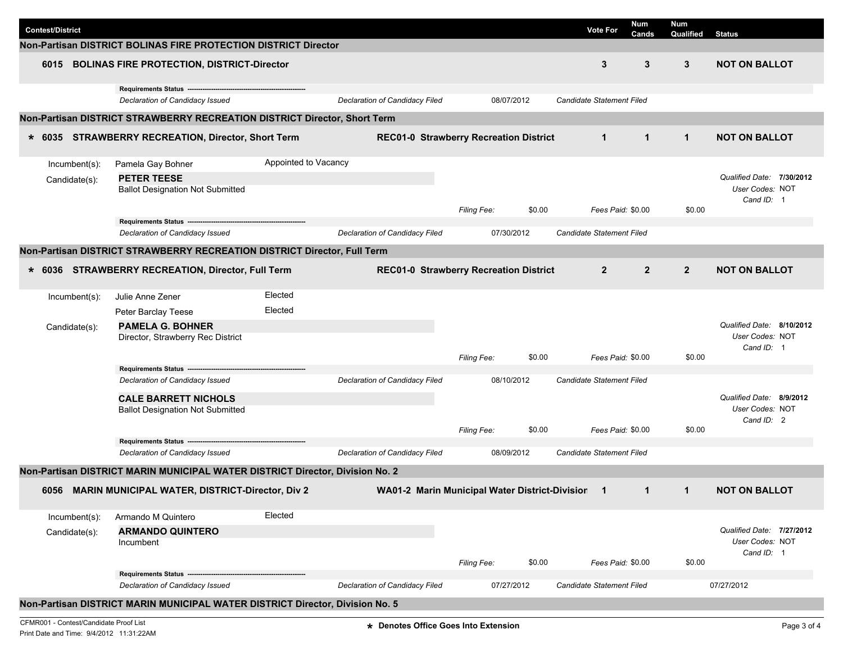| <b>Contest/District</b> |               |                                                                               |                      |                                                  |                    |            | <b>Vote For</b>           | Num<br>Cands      | <b>Num</b><br>Qualified | <b>Status</b>                                |
|-------------------------|---------------|-------------------------------------------------------------------------------|----------------------|--------------------------------------------------|--------------------|------------|---------------------------|-------------------|-------------------------|----------------------------------------------|
|                         |               | Non-Partisan DISTRICT BOLINAS FIRE PROTECTION DISTRICT Director               |                      |                                                  |                    |            |                           |                   |                         |                                              |
|                         |               | 6015 BOLINAS FIRE PROTECTION, DISTRICT-Director                               |                      |                                                  |                    |            | 3                         | 3                 | 3                       | <b>NOT ON BALLOT</b>                         |
|                         |               | Requirements Status ------------------------------                            |                      |                                                  |                    |            |                           |                   |                         |                                              |
|                         |               | Declaration of Candidacy Issued                                               |                      | Declaration of Candidacy Filed                   |                    | 08/07/2012 | Candidate Statement Filed |                   |                         |                                              |
|                         |               | Non-Partisan DISTRICT STRAWBERRY RECREATION DISTRICT Director, Short Term     |                      |                                                  |                    |            |                           |                   |                         |                                              |
|                         |               | * 6035 STRAWBERRY RECREATION, Director, Short Term                            |                      | REC01-0 Strawberry Recreation District           |                    |            | $\mathbf 1$               | $\mathbf 1$       | $\mathbf 1$             | <b>NOT ON BALLOT</b>                         |
|                         | Incumbent(s): | Pamela Gay Bohner                                                             | Appointed to Vacancy |                                                  |                    |            |                           |                   |                         |                                              |
|                         | Candidate(s): | <b>PETER TEESE</b>                                                            |                      |                                                  |                    |            |                           |                   |                         | Qualified Date: 7/30/2012                    |
|                         |               | <b>Ballot Designation Not Submitted</b>                                       |                      |                                                  |                    |            |                           |                   |                         | User Codes: NOT                              |
|                         |               |                                                                               |                      |                                                  | <b>Filing Fee:</b> | \$0.00     |                           | Fees Paid: \$0.00 | \$0.00                  | Cand ID: 1                                   |
|                         |               |                                                                               |                      |                                                  |                    |            |                           |                   |                         |                                              |
|                         |               | Declaration of Candidacy Issued                                               |                      | Declaration of Candidacy Filed                   |                    | 07/30/2012 | Candidate Statement Filed |                   |                         |                                              |
|                         |               | Non-Partisan DISTRICT STRAWBERRY RECREATION DISTRICT Director, Full Term      |                      |                                                  |                    |            |                           |                   |                         |                                              |
|                         |               | * 6036 STRAWBERRY RECREATION, Director, Full Term                             |                      | <b>REC01-0 Strawberry Recreation District</b>    |                    |            | $\overline{2}$            | $\overline{2}$    | $\overline{2}$          | <b>NOT ON BALLOT</b>                         |
|                         | Incumbent(s): | Julie Anne Zener                                                              | Elected              |                                                  |                    |            |                           |                   |                         |                                              |
|                         |               | Peter Barclay Teese                                                           | Elected              |                                                  |                    |            |                           |                   |                         |                                              |
|                         | Candidate(s): | <b>PAMELA G. BOHNER</b>                                                       |                      |                                                  |                    |            |                           |                   |                         | Qualified Date: 8/10/2012                    |
|                         |               | Director, Strawberry Rec District                                             |                      |                                                  |                    |            |                           |                   |                         | User Codes: NOT                              |
|                         |               |                                                                               |                      |                                                  | <b>Filing Fee:</b> | \$0.00     |                           | Fees Paid: \$0.00 | \$0.00                  | Cand ID: 1                                   |
|                         |               | Requirements Status --                                                        |                      |                                                  |                    |            |                           |                   |                         |                                              |
|                         |               | Declaration of Candidacy Issued                                               |                      | Declaration of Candidacy Filed                   |                    | 08/10/2012 | Candidate Statement Filed |                   |                         |                                              |
|                         |               | <b>CALE BARRETT NICHOLS</b>                                                   |                      |                                                  |                    |            |                           |                   |                         | Qualified Date: 8/9/2012                     |
|                         |               | <b>Ballot Designation Not Submitted</b>                                       |                      |                                                  |                    |            |                           |                   |                         | User Codes: NOT                              |
|                         |               |                                                                               |                      |                                                  | <b>Filing Fee:</b> | \$0.00     |                           | Fees Paid: \$0.00 | \$0.00                  | Cand ID: 2                                   |
|                         |               |                                                                               |                      |                                                  |                    |            |                           |                   |                         |                                              |
|                         |               | Declaration of Candidacy Issued                                               |                      | Declaration of Candidacy Filed                   |                    | 08/09/2012 | Candidate Statement Filed |                   |                         |                                              |
|                         |               | Non-Partisan DISTRICT MARIN MUNICIPAL WATER DISTRICT Director, Division No. 2 |                      |                                                  |                    |            |                           |                   |                         |                                              |
|                         |               |                                                                               |                      |                                                  |                    |            |                           |                   |                         |                                              |
|                         |               | 6056 MARIN MUNICIPAL WATER, DISTRICT-Director, Div 2                          |                      | WA01-2 Marin Municipal Water District-Division 1 |                    |            |                           | $\overline{1}$    |                         | <b>NOT ON BALLOT</b>                         |
|                         | Incumbent(s): | Armando M Quintero                                                            | Elected              |                                                  |                    |            |                           |                   |                         |                                              |
|                         | Candidate(s): | <b>ARMANDO QUINTERO</b><br>Incumbent                                          |                      |                                                  |                    |            |                           |                   |                         | Qualified Date: 7/27/2012<br>User Codes: NOT |
|                         |               |                                                                               |                      |                                                  |                    |            |                           |                   |                         | Cand ID: 1                                   |
|                         |               |                                                                               |                      |                                                  | Filing Fee:        | \$0.00     |                           | Fees Paid: \$0.00 | \$0.00                  |                                              |
|                         |               | Requirements Status ---<br>Declaration of Candidacy Issued                    |                      | Declaration of Candidacy Filed                   |                    | 07/27/2012 | Candidate Statement Filed |                   |                         | 07/27/2012                                   |
|                         |               |                                                                               |                      |                                                  |                    |            |                           |                   |                         |                                              |
|                         |               | Non-Partisan DISTRICT MARIN MUNICIPAL WATER DISTRICT Director, Division No. 5 |                      |                                                  |                    |            |                           |                   |                         |                                              |